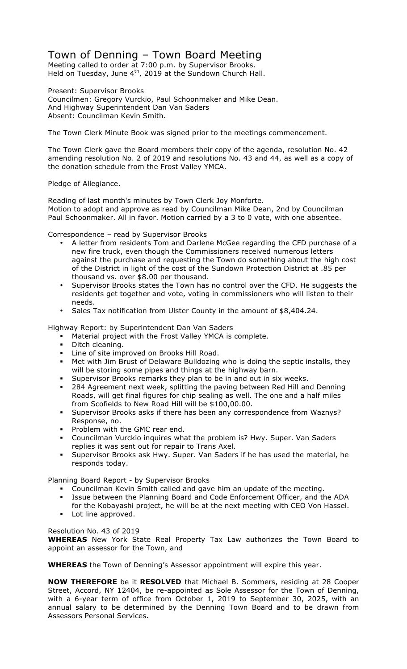## Town of Denning – Town Board Meeting

Meeting called to order at 7:00 p.m. by Supervisor Brooks. Held on Tuesday, June  $4<sup>th</sup>$ , 2019 at the Sundown Church Hall.

Present: Supervisor Brooks Councilmen: Gregory Vurckio, Paul Schoonmaker and Mike Dean. And Highway Superintendent Dan Van Saders Absent: Councilman Kevin Smith.

The Town Clerk Minute Book was signed prior to the meetings commencement.

The Town Clerk gave the Board members their copy of the agenda, resolution No. 42 amending resolution No. 2 of 2019 and resolutions No. 43 and 44, as well as a copy of the donation schedule from the Frost Valley YMCA.

## Pledge of Allegiance.

Reading of last month's minutes by Town Clerk Joy Monforte. Motion to adopt and approve as read by Councilman Mike Dean, 2nd by Councilman Paul Schoonmaker. All in favor. Motion carried by a 3 to 0 vote, with one absentee.

Correspondence – read by Supervisor Brooks

- A letter from residents Tom and Darlene McGee regarding the CFD purchase of a new fire truck, even though the Commissioners received numerous letters against the purchase and requesting the Town do something about the high cost of the District in light of the cost of the Sundown Protection District at .85 per thousand vs. over \$8.00 per thousand.
- Supervisor Brooks states the Town has no control over the CFD. He suggests the residents get together and vote, voting in commissioners who will listen to their needs.
- Sales Tax notification from Ulster County in the amount of \$8,404.24.

Highway Report: by Superintendent Dan Van Saders

- ! Material project with the Frost Valley YMCA is complete.
- Ditch cleaning.
- **EXECT** Line of site improved on Brooks Hill Road.
- ! Met with Jim Brust of Delaware Bulldozing who is doing the septic installs, they will be storing some pipes and things at the highway barn.
- Supervisor Brooks remarks they plan to be in and out in six weeks.
- 284 Agreement next week, splitting the paving between Red Hill and Denning Roads, will get final figures for chip sealing as well. The one and a half miles from Scofields to New Road Hill will be \$100,00.00.
- Supervisor Brooks asks if there has been any correspondence from Waznys? Response, no.
- **Problem with the GMC rear end.**
- ! Councilman Vurckio inquires what the problem is? Hwy. Super. Van Saders replies it was sent out for repair to Trans Axel.
- ! Supervisor Brooks ask Hwy. Super. Van Saders if he has used the material, he responds today.

Planning Board Report - by Supervisor Brooks

- ! Councilman Kevin Smith called and gave him an update of the meeting.
- ! Issue between the Planning Board and Code Enforcement Officer, and the ADA
- for the Kobayashi project, he will be at the next meeting with CEO Von Hassel. **•** Lot line approved.

Resolution No. 43 of 2019

**WHEREAS** New York State Real Property Tax Law authorizes the Town Board to appoint an assessor for the Town, and

**WHEREAS** the Town of Denning's Assessor appointment will expire this year.

**NOW THEREFORE** be it **RESOLVED** that Michael B. Sommers, residing at 28 Cooper Street, Accord, NY 12404, be re-appointed as Sole Assessor for the Town of Denning, with a 6-year term of office from October 1, 2019 to September 30, 2025, with an annual salary to be determined by the Denning Town Board and to be drawn from Assessors Personal Services.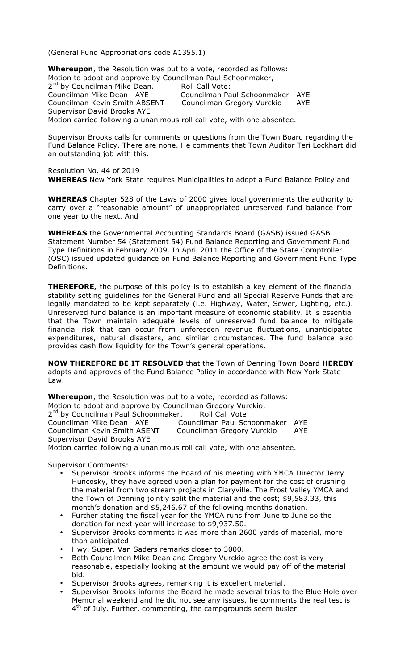(General Fund Appropriations code A1355.1)

**Whereupon**, the Resolution was put to a vote, recorded as follows: Motion to adopt and approve by Councilman Paul Schoonmaker, 2<sup>nd</sup> by Councilman Mike Dean. Roll Call Vote:<br>Councilman Mike Dean AYE Councilman Pa Councilman Paul Schoonmaker AYE Councilman Kevin Smith ABSENT Councilman Gregory Vurckio AYE Supervisor David Brooks AYE Motion carried following a unanimous roll call vote, with one absentee.

Supervisor Brooks calls for comments or questions from the Town Board regarding the Fund Balance Policy. There are none. He comments that Town Auditor Teri Lockhart did an outstanding job with this.

Resolution No. 44 of 2019 **WHEREAS** New York State requires Municipalities to adopt a Fund Balance Policy and

**WHEREAS** Chapter 528 of the Laws of 2000 gives local governments the authority to carry over a "reasonable amount" of unappropriated unreserved fund balance from one year to the next. And

**WHEREAS** the Governmental Accounting Standards Board (GASB) issued GASB Statement Number 54 (Statement 54) Fund Balance Reporting and Government Fund Type Definitions in February 2009. In April 2011 the Office of the State Comptroller (OSC) issued updated guidance on Fund Balance Reporting and Government Fund Type Definitions.

**THEREFORE,** the purpose of this policy is to establish a key element of the financial stability setting guidelines for the General Fund and all Special Reserve Funds that are legally mandated to be kept separately (i.e. Highway, Water, Sewer, Lighting, etc.). Unreserved fund balance is an important measure of economic stability. It is essential that the Town maintain adequate levels of unreserved fund balance to mitigate financial risk that can occur from unforeseen revenue fluctuations, unanticipated expenditures, natural disasters, and similar circumstances. The fund balance also provides cash flow liquidity for the Town's general operations.

**NOW THEREFORE BE IT RESOLVED** that the Town of Denning Town Board **HEREBY** adopts and approves of the Fund Balance Policy in accordance with New York State Law.

**Whereupon**, the Resolution was put to a vote, recorded as follows: Motion to adopt and approve by Councilman Gregory Vurckio, 2<sup>nd</sup> by Councilman Paul Schoonmaker. Roll Call Vote: Councilman Mike Dean AYE Councilman Paul Schoonmaker AYE Councilman Kevin Smith ASENT Councilman Gregory Vurckio AYE Supervisor David Brooks AYE Motion carried following a unanimous roll call vote, with one absentee.

Supervisor Comments:

- Supervisor Brooks informs the Board of his meeting with YMCA Director Jerry Huncosky, they have agreed upon a plan for payment for the cost of crushing the material from two stream projects in Claryville. The Frost Valley YMCA and the Town of Denning jointly split the material and the cost; \$9,583.33, this month's donation and \$5,246.67 of the following months donation.
- Further stating the fiscal year for the YMCA runs from June to June so the donation for next year will increase to \$9,937.50.
- Supervisor Brooks comments it was more than 2600 yards of material, more than anticipated.
- Hwy. Super. Van Saders remarks closer to 3000.
- Both Councilmen Mike Dean and Gregory Vurckio agree the cost is very reasonable, especially looking at the amount we would pay off of the material bid.
- Supervisor Brooks agrees, remarking it is excellent material.
- Supervisor Brooks informs the Board he made several trips to the Blue Hole over Memorial weekend and he did not see any issues, he comments the real test is  $4<sup>th</sup>$  of July. Further, commenting, the campgrounds seem busier.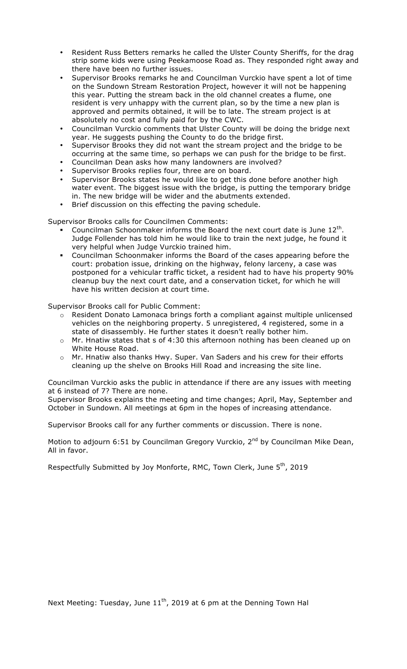- Resident Russ Betters remarks he called the Ulster County Sheriffs, for the drag strip some kids were using Peekamoose Road as. They responded right away and there have been no further issues.
- Supervisor Brooks remarks he and Councilman Vurckio have spent a lot of time on the Sundown Stream Restoration Project, however it will not be happening this year. Putting the stream back in the old channel creates a flume, one resident is very unhappy with the current plan, so by the time a new plan is approved and permits obtained, it will be to late. The stream project is at absolutely no cost and fully paid for by the CWC.
- Councilman Vurckio comments that Ulster County will be doing the bridge next year. He suggests pushing the County to do the bridge first.
- Supervisor Brooks they did not want the stream project and the bridge to be occurring at the same time, so perhaps we can push for the bridge to be first.
- Councilman Dean asks how many landowners are involved?
- Supervisor Brooks replies four, three are on board.
- Supervisor Brooks states he would like to get this done before another high water event. The biggest issue with the bridge, is putting the temporary bridge in. The new bridge will be wider and the abutments extended.
- Brief discussion on this effecting the paving schedule.

Supervisor Brooks calls for Councilmen Comments:

- Councilman Schoonmaker informs the Board the next court date is June  $12<sup>th</sup>$ . Judge Follender has told him he would like to train the next judge, he found it very helpful when Judge Vurckio trained him.
- ! Councilman Schoonmaker informs the Board of the cases appearing before the court: probation issue, drinking on the highway, felony larceny, a case was postponed for a vehicular traffic ticket, a resident had to have his property 90% cleanup buy the next court date, and a conservation ticket, for which he will have his written decision at court time.

Supervisor Brooks call for Public Comment:

- $\circ$  Resident Donato Lamonaca brings forth a compliant against multiple unlicensed vehicles on the neighboring property. 5 unregistered, 4 registered, some in a state of disassembly. He further states it doesn't really bother him.
- o Mr. Hnatiw states that s of 4:30 this afternoon nothing has been cleaned up on White House Road.
- o Mr. Hnatiw also thanks Hwy. Super. Van Saders and his crew for their efforts cleaning up the shelve on Brooks Hill Road and increasing the site line.

Councilman Vurckio asks the public in attendance if there are any issues with meeting at 6 instead of 7? There are none.

Supervisor Brooks explains the meeting and time changes; April, May, September and October in Sundown. All meetings at 6pm in the hopes of increasing attendance.

Supervisor Brooks call for any further comments or discussion. There is none.

Motion to adjourn 6:51 by Councilman Gregory Vurckio,  $2^{nd}$  by Councilman Mike Dean, All in favor.

Respectfully Submitted by Joy Monforte, RMC, Town Clerk, June 5<sup>th</sup>, 2019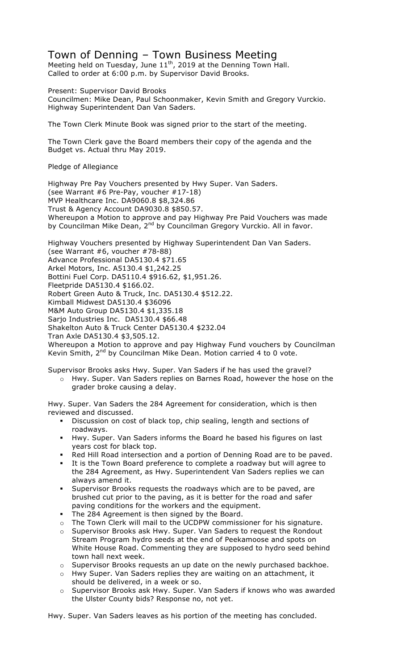## Town of Denning – Town Business Meeting

Meeting held on Tuesday, June 11<sup>th</sup>, 2019 at the Denning Town Hall. Called to order at 6:00 p.m. by Supervisor David Brooks.

Present: Supervisor David Brooks Councilmen: Mike Dean, Paul Schoonmaker, Kevin Smith and Gregory Vurckio. Highway Superintendent Dan Van Saders.

The Town Clerk Minute Book was signed prior to the start of the meeting.

The Town Clerk gave the Board members their copy of the agenda and the Budget vs. Actual thru May 2019.

Pledge of Allegiance

Highway Pre Pay Vouchers presented by Hwy Super. Van Saders. (see Warrant #6 Pre-Pay, voucher #17-18) MVP Healthcare Inc. DA9060.8 \$8,324.86 Trust & Agency Account DA9030.8 \$850.57. Whereupon a Motion to approve and pay Highway Pre Paid Vouchers was made by Councilman Mike Dean, 2<sup>nd</sup> by Councilman Gregory Vurckio. All in favor.

Highway Vouchers presented by Highway Superintendent Dan Van Saders. (see Warrant #6, voucher #78-88) Advance Professional DA5130.4 \$71.65 Arkel Motors, Inc. A5130.4 \$1,242.25 Bottini Fuel Corp. DA5110.4 \$916.62, \$1,951.26. Fleetpride DA5130.4 \$166.02. Robert Green Auto & Truck, Inc. DA5130.4 \$512.22. Kimball Midwest DA5130.4 \$36096 M&M Auto Group DA5130.4 \$1,335.18 Sarjo Industries Inc. DA5130.4 \$66.48 Shakelton Auto & Truck Center DA5130.4 \$232.04 Tran Axle DA5130.4 \$3,505.12. Whereupon a Motion to approve and pay Highway Fund vouchers by Councilman Kevin Smith,  $2^{nd}$  by Councilman Mike Dean. Motion carried 4 to 0 vote.

Supervisor Brooks asks Hwy. Super. Van Saders if he has used the gravel?

o Hwy. Super. Van Saders replies on Barnes Road, however the hose on the grader broke causing a delay.

Hwy. Super. Van Saders the 284 Agreement for consideration, which is then reviewed and discussed.

- ! Discussion on cost of black top, chip sealing, length and sections of roadways.
- ! Hwy. Super. Van Saders informs the Board he based his figures on last years cost for black top.
- ! Red Hill Road intersection and a portion of Denning Road are to be paved.
- ! It is the Town Board preference to complete a roadway but will agree to the 284 Agreement, as Hwy. Superintendent Van Saders replies we can always amend it.
- Supervisor Brooks requests the roadways which are to be paved, are brushed cut prior to the paving, as it is better for the road and safer paving conditions for the workers and the equipment.
- The 284 Agreement is then signed by the Board.
- o The Town Clerk will mail to the UCDPW commissioner for his signature.
- o Supervisor Brooks ask Hwy. Super. Van Saders to request the Rondout Stream Program hydro seeds at the end of Peekamoose and spots on White House Road. Commenting they are supposed to hydro seed behind town hall next week.
- o Supervisor Brooks requests an up date on the newly purchased backhoe.
- o Hwy Super. Van Saders replies they are waiting on an attachment, it should be delivered, in a week or so.
- o Supervisor Brooks ask Hwy. Super. Van Saders if knows who was awarded the Ulster County bids? Response no, not yet.

Hwy. Super. Van Saders leaves as his portion of the meeting has concluded.